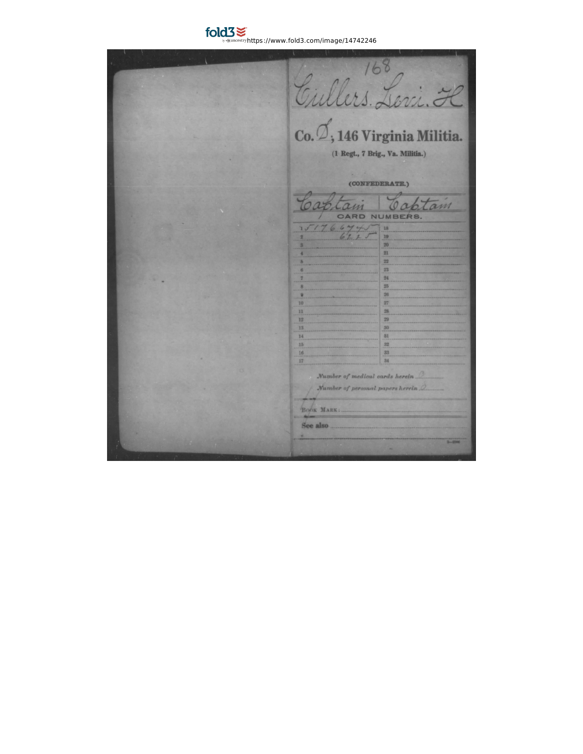$\text{fold3}$   $\leq$  https://www.fold3.com/image/14742246

Gullers Levi. H<br>Cullers Levi. H (1 Regt., 7 Brig., Va. Militia.) (CONFEDERATE.)  $777$ tam Toak am CARD NUMBERS.  $151766445$ 18 --19  $_{20}$  $\overline{21}$  $\overline{22}$  $^{23}$ 24  $\frac{25}{25}$  $\frac{26}{26}$  $\overline{27}$ 10 28 11 29 12 30 13 81 14  $32\,$ 15 33 16 34 17 Number of medical cards herein Number of personal papers herein. BOOK MARK: See also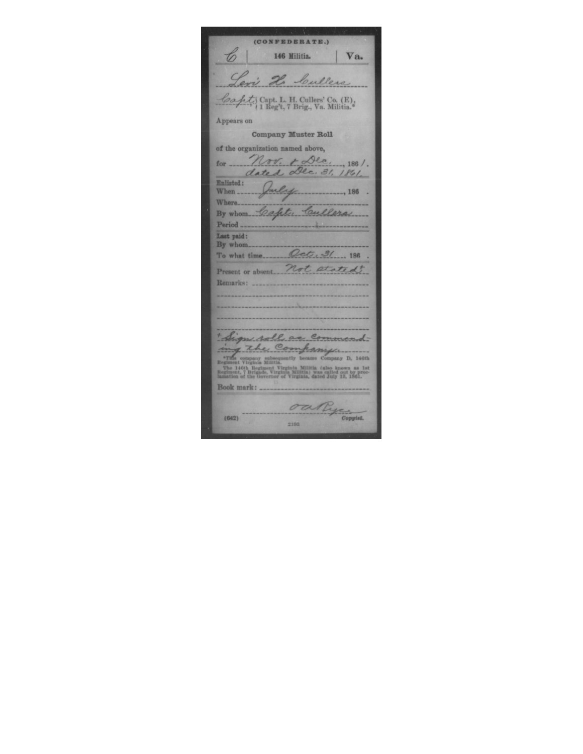(CONFEDERATE.)  $\mathscr{L}$ 146 Militia. Va. Levi He Cullers Capt; Capt. L. H. Cullers' Co. (E);<br>
1 Reg't, 7 Brig., Va. Militia. Appears on Company Muster Roll of the organization named above, Nov. + Dec. 1861. for  $\overline{\phantom{a}}$ dated Dec. 31, 1861. Enlisted: auly  $\frac{186}{2}$ When ... Where... By whom Cafet, Cullers Period<sub>---</sub> Last paid: By whom. Oct. 31 ... 186 To what time... Present or absent. Not stated Remarks: + Sign roll as command-The Complete company and the Regiment Virginia Militia. (also known as lat Regiment Virginia Militia. (also known as lat Regiment, The Hoth Regiment Virginia Militia. (also known as lat Regiment, The Governor of Virginia, Book mark: ............. outry contact  $(642)$ 2193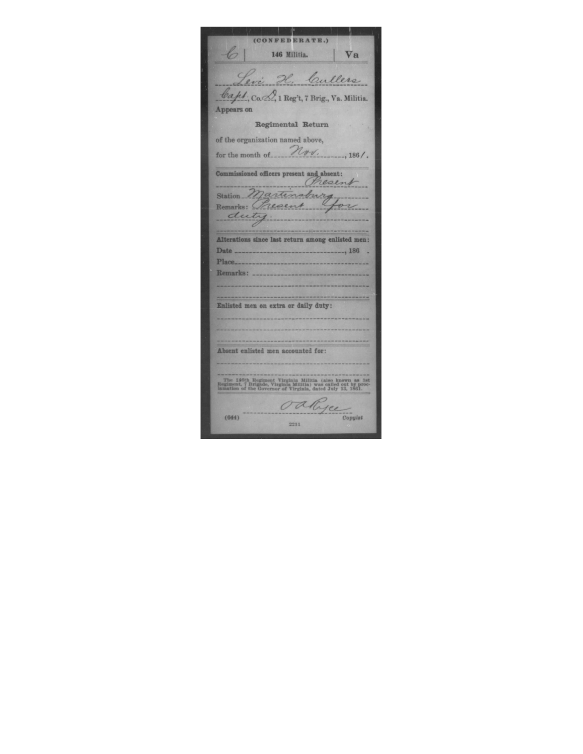(CONFEDERATE.) 6 146 Militia. Va Levi H. Cullers Capt. Co. 2, 1 Reg't, 7 Brig., Va. Militia. Appears on Regimental Return of the organization named above, for the month of  $\mathcal{H}_{\sigma\sigma}$ , 186/. Commissioned officers present and absent:<br>Chesent Station Martinsburg duty. Alterations since last return among enlisted men: Place.... Remarks: ... Enlisted men on extra or daily duty: Absent enlisted men accounted for: The 146th Regiment Virginia Militia (also known as 1st Regiment, 7 Brigade, Virginia Militia) was called out by proclamation of the Governor of Virginia, dated July 13, 1861. oallyce consul  $(644)$ 2211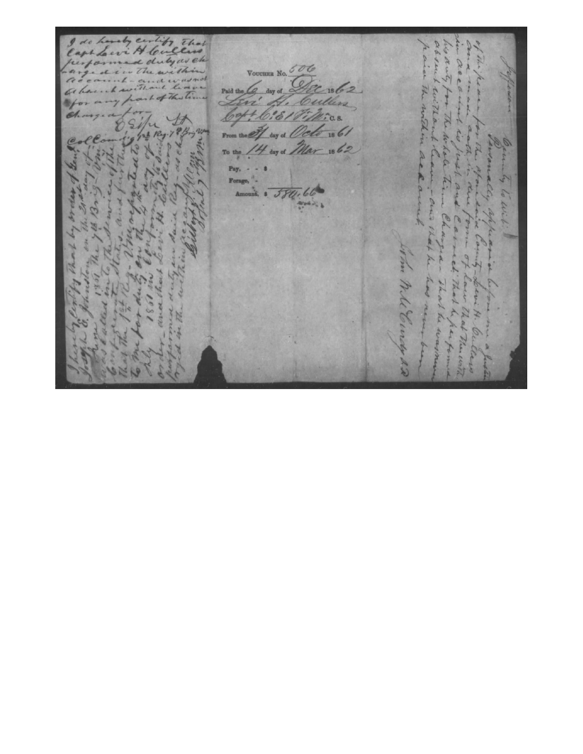Corely certify that Cap VOUCHER No. 606 2Ł al Paid the Co day of bullers bott 6: 61 Fi 16/ 17/16.08.<br>30y os *Octo* 18 61  $el.$ From the  $-1862$ Ø 4 day of Mar To the Pay,  $\overline{\phantom{a}}$ Forage, Amount, 8. 584.66 A Land night D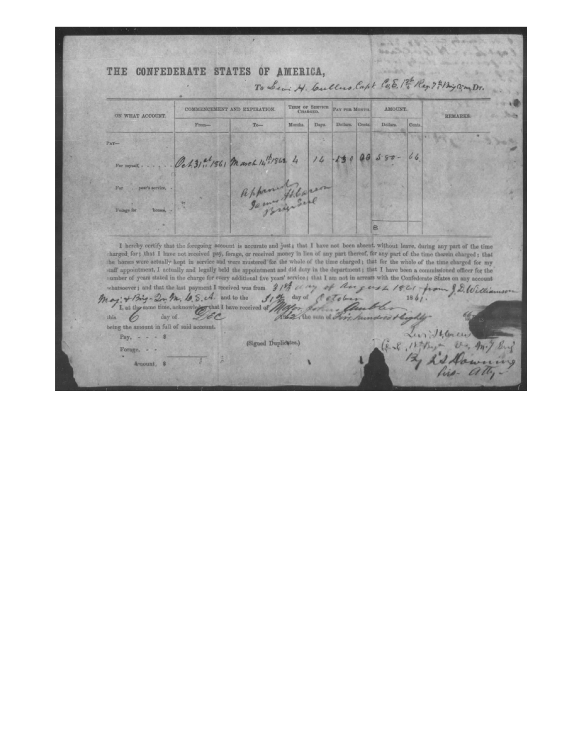THE CONFEDERATE STATES OF AMERICA, **COLLEGE** To Levi H. Cullus, Capt. C.E. 1st Reg. 7 4 Big Com Dr. TERM OF SERVICE AMOUNT. COMMENCEMENT AND EXPIRATION. PAY PER MONTH ON WHAT ACCOUNT. REMARKS. From- $To-$ Months. Days. Dollars. Cents Dollars. Cent Oct. 31 at 1861 March 14 12 1862 4 46  $5.80$  $\theta$  $14$  $130$ year's service 启 I hereby certify that the foregoing account is accurate and just; that I have not been absent, without leave, during any part of the time charged for; that I have not received pay, forage, or received money in lieu of any part thereof, for any part of the time therein charged; that the horses were actually kept in service and were mustered for the whole of t the normal section of the time charge for every additional five years' service it that I have been a commissioned officer for the number of years stated in the charge for every additional five years' service; that I am no May: + Big- 2, M, 6.5. A. and to the that I have received of I, at the same time, ackno Alex the sum of of this 6 day of. being the amount in full of said account. Les 16, Conce Pay,  $- - 5$ (Signed Duplicates.) (e-8, 15 they -V. m. / Sing Forage, - -12, 23 Daw Amount, \$